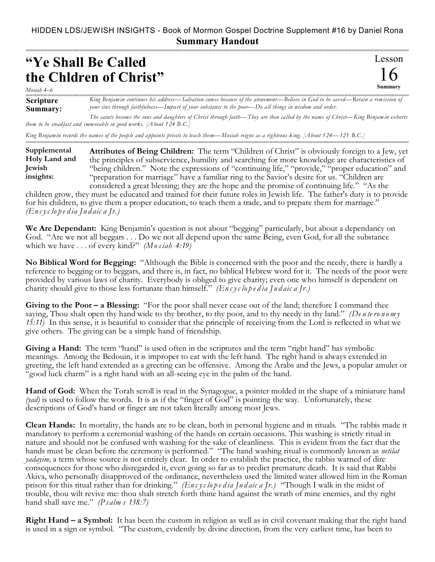## HIDDEN LDS/JEWISH INSIGHTS - Book of Mormon Gospel Doctrine Supplement #16 by Daniel Rona **Summary Handout**

===========================================================================================================

## **"Ye Shall Be Called the Chldren of Christ"**

Lesson 16 **Summary**

*Mosiah 4–6*

**Scripture Summary:** King Benjamin continues his address—Salvation comes because of the atonement—Believe in God to be saved—Retain a remission of *your sins through faithfulness—Impart of your substance to the poor—Do all things in wisdom and order.*

*The saints become the sons and daughters of Christ through faith—They are then called by the name of Christ—King Benjamin exhorts them to be steadfast and immovable in good works. [About 124 B.C.]*

===========================================================================================================

*King Benjamin records th e names of the people and appoints priests to teach them—Mosiah reigns as a righteous king. [About 124—121 B.C.]*

**Attributes of Being Children:** The term "Children of Christ" is obviously foreign to a Jew, yet the principles of subservience, humility and searching for more knowledge are characteristics of "being children." Note the expressions of "continuing life," "provide," "proper education" and "preparation for marriage" have a familiar ring to the Savior's desire for us. "Children are considered a great blessing; they are the hope and the promise of continuing life." "As the **Supplemental Holy Land and Jewish insights:**

children grow, they must be educated and trained for their future roles in Jewish life. The father's duty is to provide for his children, to give them a proper education, to teach them a trade, and to prepare them for marriage." *(En c yc lo p e d ia Ju d aic a Jr.)*

**We Are Dependant:** King Benjamin's question is not about "begging" particularly, but about a dependancy on God. "Are we not all beggars . . . Do we not all depend upon the same Being, even God, for all the substance which we have . . . of every kind?" *(Mosiah 4:19)*

**No Biblical Word for Begging:** "Although the Bible is concerned with the poor and the needy, there is hardly a reference to begging or to beggars, and there is, in fact, no biblical Hebrew word for it. The needs of the poor were provided by various laws of charity. Everybody is obliged to give charity; even one who himself is dependent on charity should give to those less fortunate than himself." *(En c yc lo p e d ia Ju d aic a Jr.)*

**Giving to the Poor – a Blessing:** "For the poor shall never cease out of the land; therefore I command thee saying, Thou shalt open thy hand wide to thy brother, to thy poor, and to thy needy in thy land." *(Deuteronomy 15:11)* In this sense, it is beautiful to consider that the principle of receiving from the Lord is reflected in what we give others. The giving can be a simple hand of friendship.

Giving a Hand: The term "hand" is used often in the scriptures and the term "right hand" has symbolic meanings. Among the Bedouin, it is improper to eat with the left hand. The right hand is always extended in greeting, the left hand extended as a greeting can be offensive. Among the Arabs and the Jews, a popular amulet or "good luck charm" is a right hand with an all-seeing eye in the palm of the hand.

**Hand of God:** When the Torah scroll is read in the Synagogue, a pointer molded in the shape of a miniature hand *(yad)* is used to follow the words. It is as if the "finger of God" is pointing the way. Unfortunately, these descriptions of God's hand or finger are not taken literally among most Jews.

**Clean Hands:** In mortality, the hands are to be clean, both in personal hygiene and in rituals. "The rabbis made it mandatory to perform a ceremonial washing of the hands on certain occasions. This washing is strictly ritual in nature and should not be confused with washing for the sake of cleanliness. This is evident from the fact that the hands must be clean before the ceremony is performed." "The hand washing ritual is commonly known as *netilat yadayim,* a term whose source is not entirely clear. In order to establish the practice, the rabbis warned of dire consequences for those who disregarded it, even going so far as to predict premature death. It is said that Rabbi Akiva, who personally disapproved of the ordinance, nevertheless used the limited water allowed him in the Roman prison for this ritual rather than for drinking." *(En c yc lo p e d ia Ju d aic a Jr.)* "Though I walk in the midst of trouble, thou wilt revive me: thou shalt stretch forth thine hand against the wrath of mine enemies, and thy right hand shall save me." *(Ps alm s 138:7)*

**Right Hand – a Symbol:** It has been the custom in religion as well as in civil covenant making that the right hand is used in a sign or symbol. "The custom, evidently by divine direction, from the very earliest time, has been to